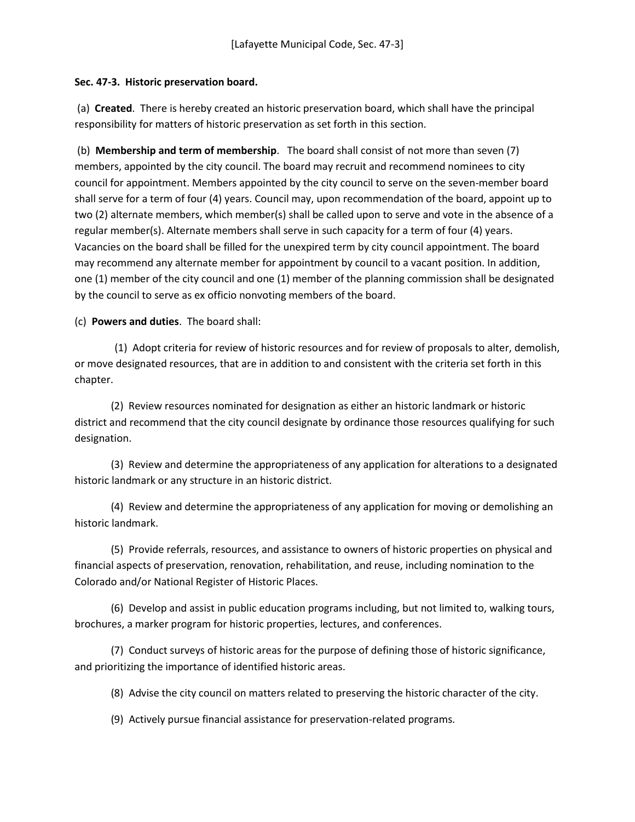## **Sec. 47-3. Historic preservation board.**

(a) **Created**. There is hereby created an historic preservation board, which shall have the principal responsibility for matters of historic preservation as set forth in this section.

(b) **Membership and term of membership**. The board shall consist of not more than seven (7) members, appointed by the city council. The board may recruit and recommend nominees to city council for appointment. Members appointed by the city council to serve on the seven-member board shall serve for a term of four (4) years. Council may, upon recommendation of the board, appoint up to two (2) alternate members, which member(s) shall be called upon to serve and vote in the absence of a regular member(s). Alternate members shall serve in such capacity for a term of four (4) years. Vacancies on the board shall be filled for the unexpired term by city council appointment. The board may recommend any alternate member for appointment by council to a vacant position. In addition, one (1) member of the city council and one (1) member of the planning commission shall be designated by the council to serve as ex officio nonvoting members of the board.

(c) **Powers and duties**. The board shall:

(1) Adopt criteria for review of historic resources and for review of proposals to alter, demolish, or move designated resources, that are in addition to and consistent with the criteria set forth in this chapter.

 (2) Review resources nominated for designation as either an historic landmark or historic district and recommend that the city council designate by ordinance those resources qualifying for such designation.

 (3) Review and determine the appropriateness of any application for alterations to a designated historic landmark or any structure in an historic district.

 (4) Review and determine the appropriateness of any application for moving or demolishing an historic landmark.

 (5) Provide referrals, resources, and assistance to owners of historic properties on physical and financial aspects of preservation, renovation, rehabilitation, and reuse, including nomination to the Colorado and/or National Register of Historic Places.

 (6) Develop and assist in public education programs including, but not limited to, walking tours, brochures, a marker program for historic properties, lectures, and conferences.

 (7) Conduct surveys of historic areas for the purpose of defining those of historic significance, and prioritizing the importance of identified historic areas.

(8) Advise the city council on matters related to preserving the historic character of the city.

(9) Actively pursue financial assistance for preservation-related programs.